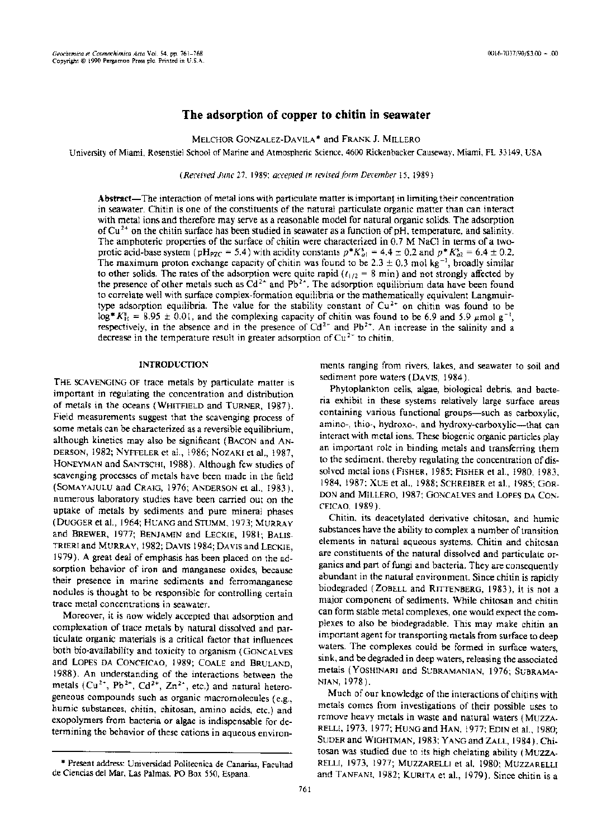# **The** adsorption of copper to chitin in seawater

MELCHOR GONZALEZ-DAVILA \* and FRANK J. MILLERO

University of Miami, Rosenstiel School of Marine and Atmospheric Science, 4600 Rickenbacker Causeway, Miami, FL 33 149, USA

*(Received June* 27, 1989; *accepled in revisedform December* 15, 1989)

Abstract—The interaction of metal ions with particulate matter is important in limiting their concentration in seawater. Chitin is one of the constituents of the natural particulate organic matter than can interact with metal ions and therefore may serve as a reasonable model for natural organic solids. The adsorption of  $Cu<sup>2+</sup>$  on the chitin surface has been studied in seawater as a function of pH, temperature, and salinity. The amphoteric properties of the surface of chitin were characterized in 0.7 M NaCl in terms of a twoprotic acid-base system (pH<sub>PZC</sub> = 5.4) with acidity constants  $p^*K_{a1}^s = 4.4 \pm 0.2$  and  $p^*K_{a2}^s = 6.4 \pm 0.2$ . The maximum proton exchange capacity of chitin was found to be  $2.3 \pm 0.3$  mol kg<sup>-1</sup>, broadly similar to other solids. The rates of the adsorption were quite rapid  $(t_{1/2} = 8 \text{ min})$  and not strongly affected by the presence of other metals such as  $Cd^{2+}$  and Pb<sup>2+</sup>. The adsorption equilibrium data have been found to correlate well with surface complex-formation equilibria or the mathematically equivalent Langmuirtype adsorption equilibria. The value for the stability constant of  $Cu^{2+}$  on chitin was found to be  $10g^*K_H^3 = 8.95 \pm 0.01$ , and the complexing capacity of chitin was found to be 6.9 and 5.9  $\mu$ mol g<sup>-1</sup>, respectively, in the absence and in the presence of  $Cd^{2+}$  and  $Pb^{2+}$ . An increase in the salinity and a decrease in the temperature result in greater adsorption of  $Cu^{2+}$  to chitin.

## **INTRODUCTION**

THE SCAVENGING OF trace metals by particulate matter is important in regulating the concentration and distribution of metals in the oceans (WHITFlELD and TURNER, 1987). Field measurements suggest that the scavenging process of sorne metals can be characterized as a reversible equilibrium, although kinetics may also be significant (BACON and AN-DERSON, 1982; NYFFELER et al., 1986; NOZAKI et al., 1987, HONEYMAN and SANTSCHI, 1988). Although few studies of scavenging processes of metals have been made in the field (SOMAYAJULU and CRAIG, 1976; ANDERSON et al., 1983), numerous laboratory studies have been carried out on the uptake of metals by sediments and pure mineral phases (DUGGERet al., 1964; HUANG and STUMM, 1973; MURRAY and BREWER, 1977; BENJAMIN and LECKlE, 1981; BALIS-TRIERI and MURRAY, 1982; DAVIS 1984; DAVIS and LECKIE, 1979). A great deal of emphasis has been placed on the adsorption behavior of iron and manganese oxides, because their presence in marine sediments and ferromanganese nodules is thought to be responsible for controlling certain trace metal concentrations in seawater.

Moreover, it is now widely accepted that adsorption and complexation of trace metals by natural dissolved and particulate organic materials is a critical factor that influences both bio-availability and toxicity to organism (GONCALVES and LOPES DA CONCEICAO, 1989; COALE and BRULAND, 1988). An understanding of the interactions between the metals ( $Cu^{2+}$ ,  $Pb^{2+}$ ,  $Cd^{2+}$ ,  $Zn^{2+}$ , etc.) and natural heterogeneous compounds such as organic macromolecules (e.g., humic substances, chitin, chitosan, amino acids, etc.) and exopolymers from bacteria or algae is indispensable for determining the behavior of these cations in aqueous environments ranging from rivers, lakes, and seawater to soil and sediment pore waters (DAVIS, 1984).

Phytoplankton cells, algae, biological debris, and bacteria exhibit in these systems relatively large surface areas containing various functional groups-such as carboxylic, amino-, thio-, hydroxo-, and hydroxy-carboxylic---that can interact with metal ions. These biogenic organic particles play an important role in binding metals and transferring them to the sediment, thereby regulating the concentration of dissolved metal ions (FISHER, 1985; FISHER et al., 1980, 1983, 1984, 1987; XUE et al., 1988; SCHREIBER et al., 1985; GOR-DON and MILLERO, 1987; GONCALVES and LoPES DA CON-CEICAO, 1989).

Chitin, its deacetylated derivative chitosan, and humic substances have the ability to complex a number of transition elements in natural aqueous systems. Chitin and chitosan are constituents of the natural dissolved and particulate organics and part of fungi and bacteria. They are consequently abundant in the natural environment. Since chitin is rapidly biodegraded (ZOBELL and RITTENBERG, 1983), it is not a major component of sediments. While chitosan and chitin can form stable metal complexes, one would expect the complexes to also be biodegradable. This may make chitin an important agent for transporting metals from surface to deep waters. The complexes could be formed in surface waters sink, and be degraded in deep waters, releasing the associated metals (YOSHINARI and SUBRAMANIAN, 1976; SUBRAMA-NIAN,1978).

Much of our knowledge of the interactions of chitins with metals comes from investigations of their possible uses to remove heavy metals in waste and natural waters (MUZZA-RELLI, 1973, 1977; HUNG and HAN, 1977; EDlN et al., 1980; SUDER and WIGHTMAN, 1983; YANG and ZALL, 1984). Chitosan was studied due to its high chelating ability (MUZZA-RELLI, 1973, 1977; MUZZARELLI et al. 1980; MUZZARELLI and TANFANI, 1982; KURITA et al., 1979). Since chitin is a

<sup>\*</sup> Present address: Universidad Politecnica de Canarias, Facultad de Ciencias del Mar, Las Palmas, PO Box 550, Espana. '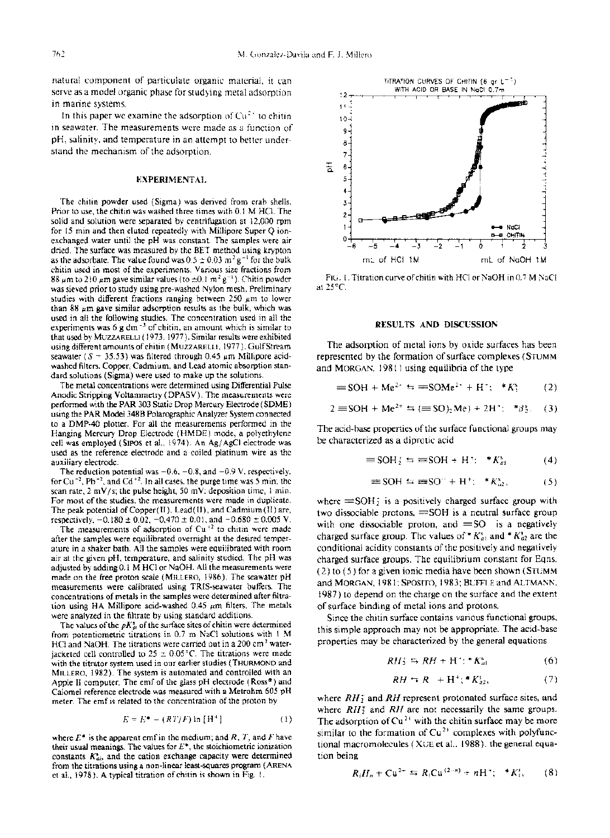natural component of particulate organic material, it can serve as a model organic phase for studying metal adsorption in marine systems.

In this paper we examine the adsorption of  $Cu<sup>2+</sup>$  to chitin in seawater. The measurements were made as a function of pH, salinity, and temperature in an attempt to better understand the mechanism of the adsorption.

## EXPERIMENTAL

The chitin powder used (Sigma) was derived from crab shells. Prior to use, the chitin was washed three times with 0.1 M HCI. The solid and solution were separated by centrifugation at 12,000 rpm for 15 min and then eluted repeatedly with MilIipore Super Q ionexchanged water until the pH was constant. The samples were air dried. The surface was measured by the BET method using krypton as the adsorbate. The value found was  $0.5 \pm 0.03$  m<sup>2</sup> g<sup>-1</sup> for the bulk chitin used in most of the experiments. Various size fractions from 88  $\mu$ m to 210  $\mu$ m gave similar values (to  $\pm$ 0.1 m<sup>2</sup> g<sup>-1</sup>). Chitin powder was sieved prior to study using pre-washed Nylon mesh. Preliminary studies with different fractions ranging between 250  $\mu$ m to lower than 88  $\mu$ m gave similar adsorption results as the bulk, which was used in all the following studies. The concentration used in all the experiments was  $6 \text{ g dm}^{-3}$  of chitin, an amount which is similar to that used by MUZZARELLI (1973, 1977). Similar results were exhibited using different amounts of chitin (MUZZARELLI, 1977). Gulf Stream seawater ( $S = 35.53$ ) was filtered through 0.45  $\mu$ m Millipore acidwashed filters. Copper, Cadmium, and Lead atomic absorption standard solutions (Sigma) were used to make up the solutions.

The metal concentrations were determined using Differential Pulse Anodic Stripping Voltammetry (DPASV). The measurements were performed with the PAR 303 Static Drop Mercury Eleetrode (SDME) using the PAR Model 348B Polarographic Analyzer System connected to a DMP-40 plotter. For all the measurements performed in the Hanging Mercury Drop Electrode (HMDE) mode, a polyethylene cell was employed (SIPOS et al., 1974). An Ag/AgCI electrode was used as the reference electrode and a coiled platinum wire as the auxiliary eleetrode.

The reduction potential was  $-0.6$ ,  $-0.8$ , and  $-0.9$  V, respectively, for  $Cu^{-2}$ , Pb<sup>+2</sup>, and  $Cd^{-2}$ . In all cases, the purge time was 5 min; the scan rate,  $2 \text{ mV/s}$ ; the pulse height, 50 mV; deposition time, 1 min. For most of the studies, the measurements were made in duplicate. The peak potential of Copper(II), Lead(II), and Cadmium(II) are, respectively,  $-0.180 \pm 0.02$ ,  $-0.470 \pm 0.01$ , and  $-0.680 \pm 0.005$  V.

The measurements of adsorption of  $Cu$ <sup>+2</sup> to chitin were made after the samples were equilibrated overnight at the desired temperature in a shaker bath. AIl the samples were equilibrated with room air at the given pH, temperature, and salinity studied. The pH was adjusted by adding 0.1 M HCI or NaOH. AH the measurements were made on the free proton scale (MILLERO, 1986). The seawater pH measurements were calibrated using TRIS-seawater buffers. The concentrations of metals in the samples were determined after filtration using HA Millipore acid-washed  $0.45 \mu m$  filters. The metals were analyzed in the filtrate by using standard additions.

The values of the  $pK_{ai}^i$  of the surface sites of chitin were determined from potentiometric titrations in 0.7 m NaCl solutions with I M HCI and NaOH. The titrations were carried out in a 200 cm<sup>3</sup> waterjacketed cell controlled to  $25 \pm 0.05$ °C. The titrations were made with the titrator system used in our earlier studies (THURMOND and MILLERO, 1982). The system is automated and controlled with an Apple II computer. The emf of the glass pH electrode (Ross<sup>®</sup>) and Calomel reference electrode was measured with a Metrohm 605 pH meter. The emf is related to the concentration of the proton by

$$
E = E^* - (RT/F) \ln[H^+]
$$
 (1)

where  $E^*$  is the apparent emf in the medium; and  $R$ ,  $T$ , and  $F$  have their usual meanings. The values for  $E^*$ , the stoichiometric ionization constants  $K_{ai}^s$ , and the cation exchange capacity were determined from the titrations using a non-linear least-squares program (ARENA et al., 1978). A typical titration of chitin is shown in Fig. 1.



FIG. I. Titration curve of chitin with HCl or NaOH in 0.7 M NaCl at  $25^{\circ}$ C.

#### RESULTS AND DISCUSSION

The adsorption of metal ions by oxide surfaces has been represented by the formation of surface complexes (STUMM and MORGAN,  $1981$ ) using equilibria of the type

$$
\equiv \text{SOH} + \text{Me}^{2-} = \text{SOMe}^{2+} + \text{H}^{-}; \quad ^*K_1^s \tag{2}
$$

$$
2 = SOH + Me^{2+} \Rightarrow (\equiv SO)_2 Me) + 2H^*; \quad * \beta_2^s. \quad (3)
$$

The acid-base properties of the surface functional groups may be characterized as a diprotic acid

$$
\equiv \text{SOH}_2 \leftrightarrows \equiv \text{SOH} \div \text{H}^+ \text{:} \quad *K_{at}^s \tag{4}
$$

$$
\equiv \text{SOH} \Leftrightarrow \equiv \text{SO}^{\circ} + \text{H}^+, \quad ^*K_{a2}^s, \tag{5}
$$

where  $\equiv$  SOH; is a positively charged surface group with two dissociable protons,  $\equiv$  SOH is a neutral surface group with one dissociable proton, and  $\equiv$  SO is a negatively charged surface group. The values of \*  $K_{a1}^s$  and \*  $K_{a2}^s$  are the conditional acidity constants of the positively and negatively charged surface groups. The equilibrium constant for Eqns.  $(2)$  to  $(5)$  for a given ionic media have been shown (STUMM) and MORGAN, 1981; SPOSITO, 1983; BUFFLE and ALTMANN, 1987) to depend on the charge on the surface and the extent of surface binding of metal ions and protons.

Since the chitin surface contains various functional groups, this simple approach may not be appropriate. The acid-base properties may be characterized by the general equations

$$
RH_2^a \hookrightarrow RH \doteq H^* \colon {^*K}_{at}^s \tag{6}
$$

$$
RH \hookrightarrow R^+ + H^+; \, {}^*K_{a2}^s, \tag{7}
$$

where  $RH_2^+$  and RH represent protonated surface sites, and where *RH*<sup>+</sup> and *RH* are not necessarily the same groups. The adsorption of  $Cu^{2+}$  with the chitin surface may be more similar to the formation of  $Cu^{2+}$  complexes with polyfunctional macromolecules (XUE et al., 1988), the general equation being

$$
R_iH_n + Cu^{2+} \equiv R_i Cu^{(2-n)} + nH^2; \quad *K_i^s, \qquad (8)
$$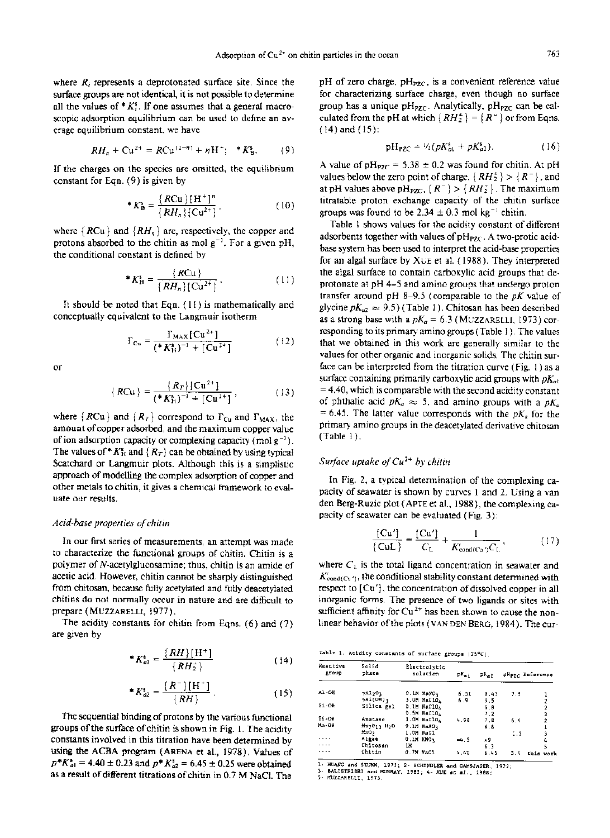where  $R_i$  represents a deprotonated surface site. Since the surface groups are not identical, it is not possible to determine all the values of  $*K_i^s$ . If one assumes that a general macroscopic adsorption equilibrium can be used to define an average equilibrium constant, we have

$$
RH_n + Cu^{2+} = RCu^{(2-n)} + nH^+; \quad *K_B^s. \tag{9}
$$

If the charges on the species are omitted, the equilibrium constant for Eqn. (9) is given by

\*
$$
K_B^s = \frac{\{RCu\}\{H^+\}^n}{\{RH_n\}\{Cu^{2+}\}},
$$
 (10)

where  ${RCu}$  and  ${RH_n}$  are, respectively, the copper and protons absorbed to the chitin as mol  $g^{-1}$ . For a given pH, the conditional constant is defined by

\*
$$
K_H^s = \frac{\{RCu\}}{\{RH_n\}\{Cu^{2+}\}}.
$$
 (11)

It should be noted that Eqn. ( 11 ) is mathematically and conceptually equivalent to the Langmuir isotherm

$$
\Gamma_{\text{Cu}} = \frac{\Gamma_{\text{MAX}}[\text{Cu}^{2+}]}{(*K_{\text{H}}^{*})^{-1} + [\text{Cu}^{2+}]} \tag{12}
$$

or

$$
\{ RCu\} = \frac{\{R_T\} \{Cu^{2+}\}}{(*K_H^*)^{-1} + [Cu^{2+}]},
$$
 (13)

where  $\{RCu\}$  and  $\{R_T\}$  correspond to  $\Gamma_{Cu}$  and  $\Gamma_{MAX}$ , the amount of copper adsorbed, and the maximum copper value of ion adsorption capacity or complexing capacity (mol  $g^{-1}$ ). The values of \*  $K_H^s$  and { $R_T$ } can be obtained by using typical Scatchard or Langmuir plots. Although this is a simplistic approach of modelling the complex adsorption of copper and other metals to chitin, it gives a chemical framework to evaluate our results.

## *Acid-base properties ofchitin*

In our first series of measurements, an attempt was made to characterize the functional groups of chitin. Chitin is a polymer of N-acetylglucosamine; thus, chitin is an amide of acetic acid. However, chitin cannot be sharply distinguished from chitosan, because fully acetylated and fully deacetylated chitins do not normally occur in nature and are difficult to prepare (MUZZARELLI, 1977).

The acidity constants for chitin from Eqns. (6) and (7) are given by

$$
*K_{a1}^{s} = \frac{\{RH\}\left[H^{+}\right]}{\{RH_{2}^{+}\}}
$$
 (14)

\*
$$
K_{a2}^* = \frac{R^-}{H^+}
$$
 (15)

The sequential binding of protons by the various functional groups of the surface of chitin is shown in Fig. 1. The acidity constants involved in this titration have been determined by using the ACBA program (ARENA et al., 1978). Values of  $p^*K_{a1}^* = 4.40 \pm 0.23$  and  $p^*K_{a2}^* = 6.45 \pm 0.25$  were obtained as a result of different titrations of chitin in 0.7 M NaCl. The

pH of zero charge,  $pH_{PZC}$ , is a convenient reference value for characterizing surface charge, even though no surface group has a unique  $pH_{PZC}$ . Analytically,  $pH_{PZC}$  can be calculated from the pH at which  $\{RH_2^+\} = \{R^-\}$  or from Eqns. ( 14) and ( 15 ):

$$
pH_{P2C} = \frac{1}{2} (pK_{a1}^s + pK_{a2}^s). \tag{16}
$$

A value of  $pH_{PZC} = 5.38 \pm 0.2$  was found for chitin. At pH values below the zero point of charge,  $\{RH_2^+\} > \{R^-\}$ , and at pH values above pH<sub>PZC</sub>,  $\{R^-\} > \{RH_2^+\}$ . The maximum titratable proton exchange capacity of the chitin surface groups was found to be 2.34  $\pm$  0.3 mol kg<sup>-t</sup> chitin.

Table 1 shows values for the acidity constant of different adsorbents together with values of  $pH_{PZC}$ . A two-protic acidbase system has been used to interpret the acid-base properties for an algal surface by XUE et al. (1988). They interpreted the algal surface to contain carboxylic acid groups that deprotonate at pH 4-5 and amino groups that undergo proton transfer around pH 8-9.5 (comparable to the *pK* value of glycine  $pK_{a2} \approx 9.5$ ) (Table 1). Chitosan has been described as a strong base with a  $pK_a = 6.3$  (MUZZARELLI, 1973) corresponding to its primary amino groups (Table 1). The values that we obtained in this work are generally similar to the values for other organic and inorganic solids. The chitin surface can be interpreted from the titration curve (Fig. 1) as a surface containing primarily carboxylic acid groups with  $pK_{at}$  $= 4.40$ , which is comparable with the second acidity constant of phthalic acid  $pK_a \approx 5$ , and amino groups with a  $pK_a$  $= 6.45$ . The latter value corresponds with the *pK<sub>a</sub>* for the primary amino groups in the deacetylated derivative chitosan  $(Table 1).$ 

# *Surface uptake ofCu2 +by chitin*

In Fig. 2, a typical determination of the complexing capacity of seawater is shown by curves 1 and 2. Using a van den Berg-Ruzic plot (APTE et al., 1988), the complexing capacity of seawater can be evaluated (Fig.  $3$ ):

$$
\frac{\{Cu'\}}{\{CuL\}} = \frac{\{Cu'\}}{C_L} + \frac{1}{K'_{cond(Cu')C_L}},
$$
(17)

where  $C_{\perp}$  is the total ligand concentration in seawater and  $K'_{\text{cond}(Cu')}$ , the conditional stability constant determined with respect to  $[Cu']$ , the concentration of dissolved copper in all inorganic forms. The presence of two ligands or sites with sufficient affinity for  $Cu^{2+}$  has been shown to cause the nonlinear behavior of the plots (VAN DEN BERG, 1984). The cur-

Table 1. Acidity constants of surface groups (25°C).

| Reactive<br>group | Solid<br>phase   | Electrolytic<br>salution | $PK_{a1}$ | $2K_{\pm 2}$ |     | pHp <sub>2C</sub> Reference |
|-------------------|------------------|--------------------------|-----------|--------------|-----|-----------------------------|
| AL-OR             | 7A1203           | 0.18 NaNO3               | 6.51      | 8.43         | 7.5 |                             |
|                   | 7A1(OH)1         | 3.0M NaClO4              | 6.9       | 9.5          |     |                             |
| $S1 - OH$         | Silles gel       | 0.1M NaC104              |           | 6.8          |     |                             |
|                   |                  | $0.5M$ NeClO $_4$        |           | 7.2          |     |                             |
| TI-DH             | Anatase          | 3.0M NaClO4              | 4.98      | 7.B          | 6.4 | ,                           |
| Mn-OH             | Hn7011 H2O       | <b>D.IM NaNO1</b>        |           | 6.8          |     |                             |
|                   | MnO <sub>2</sub> | 1.0M NaCl                |           |              | 1.5 |                             |
|                   | Algae            | O.IN KNO.                | $-4.5$    | 209          |     |                             |
|                   | Chitosan         | 1H                       |           | 6.3          |     |                             |
|                   | Chitin           | 0.7M NaCl                | 4.40      | 6.45         | 5.4 | this work                   |

1- HUANG and STUHM, 1973; 2- SCHINDLER and GAMSJAGER, 1972;<br>3- BALISTRIERI and MURRAY, 1982; 4- XUE et al., 1988;<br>5- MUZZARELLI, 1973.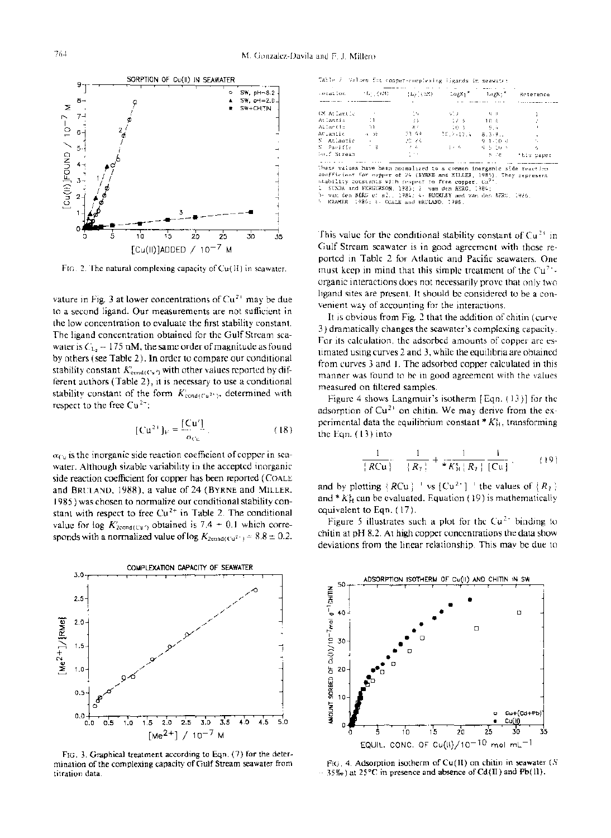

FIG. 2. The natural complexing capacity of  $Cu(H)$  in seawater.

vature in Fig. 3 at lower concentrations of  $Cu^{2+}$  may be due to a second ligand. Our measurements are not sufficient in the low concentration to evaluate the first stability constant. The ligand concentration obtained for the Gulf Stream seawater is  $C_{1a} = 175$  nM, the same order of magnitude as found by others (see Table 2). In order to compare our conditional stability constant  $K'_{\text{cond}(C_{\mathbf{V}}')}$  with other values reported by different authors (Table 2), it is necessary to use a conditional stability constant of the form  $K'_{\text{cond}(Cu^{2+})}$ , determined with respect to the free  $Cu^{2+}$ :

$$
[\mathbf{C}\mathbf{u}^{2+}]_{\mathrm{F}} = \frac{[\mathbf{C}\mathbf{u}']}{\alpha_{\mathrm{C}\mathbf{u}}}.
$$
 (18)

 $\alpha_{CU}$  is the inorganic side reaction coefficient of copper in seawater. Although sizable variability in the accepted inorganic side reaction coefficient for copper has been reported (COALE and BRULAND, 1988), a value of 24 (BYRNE and MILLER, 1985) was chosen to normalize our conditional stability constant with respect to free  $Cu<sup>2+</sup>$  in Table 2. The conditional value for log  $K_{2\text{cond}(C_1)}$  obtained is 7.4  $\pm$  0.1 which corresponds with a normalized value of log  $K_{2\text{cond}(C_0^2)} = 8.8 \pm 0.2$ .



FIG. 3. Graphical treatment according to Eqn. (7) for the determination of the complexing capacity of Gulf Stream seawater from titration data.

|  |  | Table 2: Values for copper-complexing ligands in seaware: |  |  |  |
|--|--|-----------------------------------------------------------|--|--|--|
|--|--|-----------------------------------------------------------|--|--|--|

| Location.<br>11 December 19 |                | 上には(天然) | largKs"<br>LogX1" |                 | Reterence  |  |
|-----------------------------|----------------|---------|-------------------|-----------------|------------|--|
|                             |                |         |                   |                 |            |  |
| GM Atlantic                 |                | -14     | i situa           | - Group         |            |  |
| Atlantic                    | -11            | -33     | - 12 - 61         | 16 é            |            |  |
| Atlantic                    | M)             | 8:      | 10.3              | - 9.4           |            |  |
| AULantic                    | $4 - 16$       | -33. 44 | 30.2.02.4         | 8.3.9.1         |            |  |
| 5 Atlantic                  | $\sim 10^{-1}$ | 20, 24, |                   | 9.1-10.0        |            |  |
| S. Parific                  | . a            | 2.4     | 10 F G            | <b>4.5.10 F</b> |            |  |
| Souf Stream                 |                | t ex    |                   | 5.78            | this caper |  |
|                             |                |         |                   |                 |            |  |

have been normalized to a common inorganic side reaction confficient for cupper of 24 (BYRNE and MILLER, 1985). They represent<br>thability constants with cuspect to free copper. Cu<sup>2</sup>.<br>1. SUNDA and FERGURSON, 1985; 2. van den BERG, 1984;<br>3. van den BERG et al., 1984; 4. BUCKLEY an

This value for the conditional stability constant of  $Cu^{2+}$  in Gulf Stream seawater is in good agreement with those reported in Table 2 for Atlantic and Pacific seawaters. One must keep in mind that this simple treatment of the  $Cu^{2+}$ . organic interactions does not necessarily prove that only two ligand sites are present. It should be considered to be a convenient way of accounting for the interactions.

It is obvious from Fig. 2 that the addition of chitin (curve 3) dramatically changes the seawater's complexing capacity. For its calculation, the adsorbed amounts of copper are estimated using curves 2 and 3, while the equilibria are obtained from curves 3 and l. The adsorbed copper calculated in this manner was found to be in good agreement with the values measured on filtered samples.

Figure 4 shows Langmuir's isotherm [Eqn. (13)] for the adsorption of  $Cu^{2+}$  on chitin. We may derive from the experimental data the equilibrium constant  $*K_H^s$ , transforming the Eqn.  $(13)$  into

$$
\frac{1}{|RCu|} = \frac{1}{|R_1|} + \frac{1}{*K_H^s |R_2|} \frac{1}{|Cu|},
$$
 (19)

and by plotting  ${RCu}^{-1}$  vs  ${Cu^{2+}}^{-1}$  the values of  ${R_2}$ and \*  $K_H^s$  can be evaluated. Equation (19) is mathematically equivalent to Eqn. ( 17).

Figure 5 illustrates such a plot for the  $Cu<sup>2+</sup>$  binding to chitin at pH 8.2. At high copper concentrations the data show deviations from the linear relationship. This may be due to



FIG. 4. Adsorption isotherm of  $Cu(H)$  on chitin in seawater (S  $-35\%$ <sub>0</sub>) at 25°C in presence and absence of Cd(II) and Pb(II).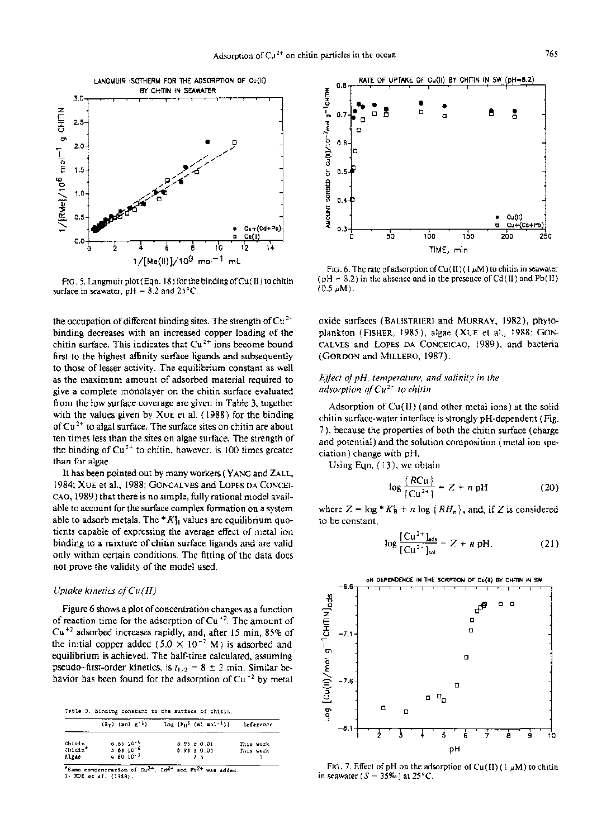

FIO. 5. Langmuir plot (Eqn. 18) forthe bindingofCu(I1) to chitin surface in seawater,  $pH = 8.2$  and  $25^{\circ}$ C.

the occupation of different binding sites. The strength of  $Cu^{2+}$ binding decreases with an increased copper loading of the chitin surface. This indicates that  $Cu<sup>2+</sup>$  ions become bound first to the highest affinity surface ligands and subsequently to those of lesser activity. The equilibrium constant as well as the maximum amount of adsorbed material required to give a complete monolayer on the chitin surface evaluated from the low surface coverage are given in Table 3, together with the values given by XUE et al. ( 1988) for the binding of  $Cu<sup>2+</sup>$  to algal surface. The surface sites on chitin are about ten times less than the sites on algae surface. The strength of the binding of  $Cu^{2+}$  to chitin, however, is 100 times greater than for algae.

It has been pointed out by many workers (YANG and ZALL, 1984; XUE et al., 1988; GONCALVES and LOPES DA CONCEI-CAO, 1989) that there is no simple, fully rational model available to account for the surface complex formation on a system able to adsorb metals. The  $*K_H^s$  values are equilibrium quotients capable of expressing the average effect of metal ion binding to a mixture of chitin surface ligands and are valid only within certain conditions. The fitting of the data does not prove the validity of the model used.

## *Uptake kinetics olCu(lI)*

Figure 6 shows a plot of concentration changes as a function of reaction time for the adsorption of  $Cu^{-2}$ . The amount of Cu+2 adsorbed increases rapidly, and, after <sup>15</sup> min, 85% of the initial copper added (5.0  $\times$  10<sup>-7</sup> M) is adsorbed and equilibrium is achieved. The half-time calculated, assuming pseudo-first-order kinetics, is  $t_{1/2} = 8 \pm 2$  min. Similar behavior has been found for the adsorption of  $Cu<sup>+2</sup>$  by metal

rabIe 3. Binding constant to the 5urface oí chitin,

|                              | $(R_T)$ (mol g <sup>-1</sup> )                      | $Log [K_H^S (mL_{mol}^{-1})]$             | Reference              |
|------------------------------|-----------------------------------------------------|-------------------------------------------|------------------------|
| Chitin<br>$Chictn*$<br>Algae | $6.86 \cdot 10^{-6}$<br>5.8810.6<br>$4.80, 10^{-5}$ | $8.95 \pm 0.01$<br>$8.98 \pm 0.03$<br>7 R | This work<br>This work |

Same concentration of  $Cu^{2+}$ .  $Cd^{2+}$  and Pb<sup>2+</sup> 1- XUE eC el. (1988).



FIG. 6. The rate of adsorption of Cu(II)( $1 \mu$ M) to chitin in seawater  $(pH = 8.2)$  in the absence and in the presence of Cd(II) and Pb(II)  $(0.5 \mu M)$ .

oxide surfaces (BALISTRIERI and MURRAY, 1982), phytoplankton (FiSHER, 1985), algae (XUE et al., 1988; GON-CALVES and LOPES DA CONCEICAO, 1989), and bacteria (GORDON and MILLERO, 1987).

## *Effect 01pH, temperature, and salinity in the adsorption olCu2+ to chitin*

Adsorption of Cu(II) (and other metal ions) at the solid chitin surface-water interface is strongly pH-dependent (Fig. 7), because the properties of both the chitin surface (charge and potential) and the solution composition (metal ion speciation) change with pH.

Using Eqn. (13), we obtain

$$
\log \frac{\{RCu\}}{\{Cu^{2+1}\}} = Z + n pH
$$
 (20)

where  $Z = \log * K_B^s + n \log (RH_n)$ , and, if Z is considered to be constant,

$$
\log \frac{[Cu^{2+}]_{ads}}{[Cu^{2+}]_{sol}} = Z + n \text{ pH.}
$$
 (21)



FIG. 7. Effect of pH on the adsorption of Cu(II) (1  $\mu$ M) to chitin in seawater ( $S = 35\%$ ) at 25°C.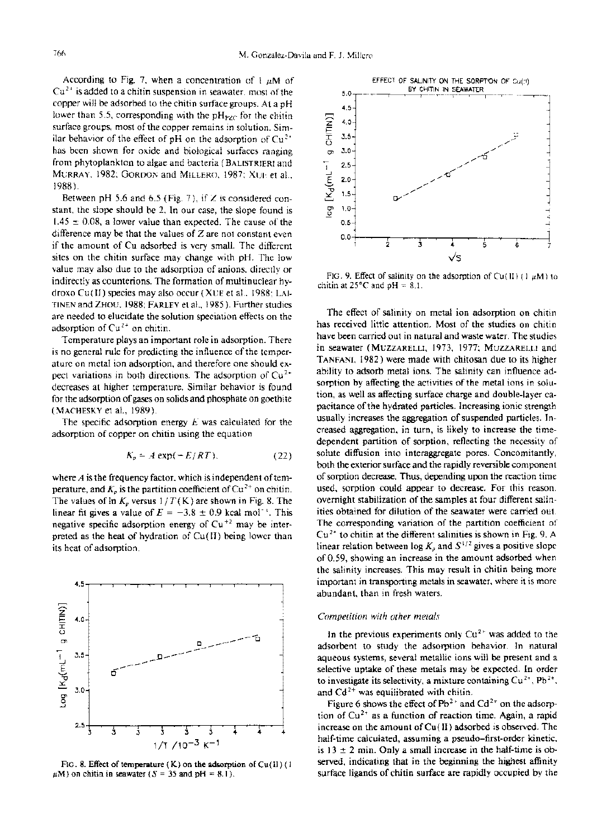According to Fig. 7, when a concentration of  $1 \mu M$  of  $Cu<sup>2+</sup>$  is added to a chitin suspension in seawater, most of the copper wiJl be adsorbed to the chitin surface groups. At a pH lower than 5.5, corresponding with the  $pH_{PZC}$  for the chitin surface groups, most of the copper remains in solution. Similar behavior of the effect of pH on the adsorption of  $Cu<sup>2+</sup>$ has been shown for oxide and biological surfaces ranging from phytoplankton to algae and bacteria (BALISTRIERI and MURRAY. 1982; GORDON and MILLERO, 1987; XUE et al., 1988 ).

Between pH 5.6 and 6.5 (Fig. 7), if  $Z$  is considered constant, the slope should be 2. In our case, the slope found is  $1.45 \pm 0.08$ , a lower value than expected. The cause of the difference may be that the values of  $Z$  are not constant even if the amount of Cu adsorbed is very small. The different sites on the chitin surface may change with pH. The low value may also due to the adsorption of anions, directly or indirectly as counterions. The formation of multinuclear hydroxo Cu(Il) species may also occur (XUE et al., 1988; LAI-TINEN and ZHOU. 1988; FARLEY et al., 1985). Further studies are needed to elucidate the solution speciation effects on the adsorption of  $Cu^{2+}$  on chitin.

Temperature plays an important role in adsorption. There is no general rule for predicting the influence of the temperature on metal ion adsorption, and therefore one should expect variations in both directions. The adsorption of  $Cu^{2+}$ decreases at higher temperature. Similar behavior is found for the adsorption of gases on solids and phosphate on goethite (MACHESKY et al., 1989).

The specific adsorption energy *E* was calculated for the adsorption of copper on chitin using the equation

$$
K_p = A \exp(-E/RT), \tag{22}
$$

where  $A$  is the frequency factor, which is independent of temperature, and  $K_p$  is the partition coefficient of Cu<sup>2+</sup> on chitin. The values of  $\ln K_p$  versus  $1/T(K)$  are shown in Fig. 8. The linear fit gives a value of  $E = -3.8 \pm 0.9$  kcal mol<sup>-1</sup>. This negative specific adsorption energy of  $Cu^{+2}$  may be interpreted as the heat of hydration of  $Cu(H)$  being lower than its heat of adsorption.



FIG. 8. Effect of temperature  $(K)$  on the adsorption of Cu(II) (1)  $\mu$ M) on chitin in seawater ( $S = 35$  and pH = 8.1).



HG. 9. Effect of salinity on the adsorption of Cu(II) (1  $\mu$ M) to chitin at  $25^{\circ}$ C and  $pH = 8.1$ .

The effect of salinity on metal ion adsorption on chitin has received little attention. Most of the studies on chitin have been carried out in natural and waste water. The studies in seawater (MUZZARELLI, 1973, 1977; MUZZARELLI and TANFANI, 1982) were made with chitosan due to its higher ability to adsorb metal ions. The salinity can influence adsorption by affecting the activities of the metal ions in solution, as well as affecting surface charge and double-Iayer capacitance of the hydrated particles. Increasing ionic strength usually increases the aggregation of suspended particles. Increased aggregation, in turn, is likely to increase the timedependent partition of sorption, reflecting the necessity of solute diffusion into interaggregate pores. Concomitantly, both the exterior surface and the rapidly reversible component of sorption decrease. Thus, depending upon the reaction time used, sorption could appear to decrease. For this reason. overnight stabilization of the samples at four different salinities obtained for dilution of the seawater were carried out. The corresponding variation of the partition coefficient of  $Cu<sup>2+</sup>$  to chitin at the different salinities is shown in Fig. 9. A linear relation between  $\log K_p$  and  $S^{1/2}$  gives a positive slope of 0.59, showing an increase in the amount adsorbed when the salinity increases. This may result in chitin being more important in transporting metals in seawater, where it is more abundant, than in fresh waters.

## *Competition with other meta/s*

In the previous experiments only  $Cu^{2+}$  was added to the adsorbent to study the adsorption behavior. In natural aqueous systems, several metallic ions will be present and a selective uptake of these metals may be expected. In order to investigate its selectivity, a mixture containing  $Cu^{2+}$ , Pb<sup>2+</sup>, and  $Cd^{2+}$  was equilibrated with chitin.

Figure 6 shows the effect of  $Pb^{2+}$  and  $Cd^{2+}$  on the adsorption of  $Cu^{2+}$  as a function of reaction time. Again, a rapid increase on the amount of Cu(II) adsorbed is observed. The half-time calculated, assuming a pseudo-first-order kinetic, is  $13 \pm 2$  min. Only a small increase in the half-time is observed, indicating that in the beginning the highest affinity surface ligands of chitin surface are rapidly occupied by the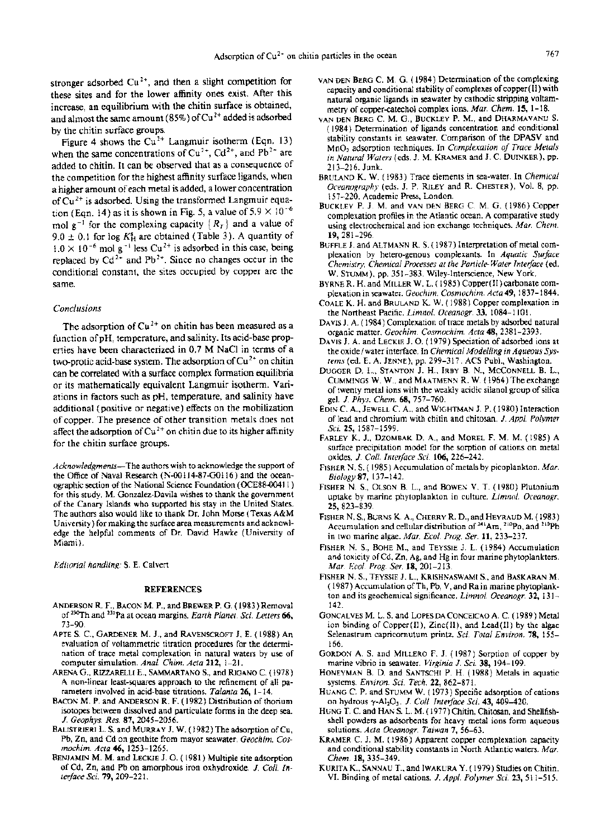stronger adsorbed  $Cu<sup>2+</sup>$ , and then a slight competition for these sites and for the lower affinity ones exist. After this increase, an equilibrium with the chitin surface is obtained, and almost the same amount (85%) of  $Cu^{2+}$  added is adsorbed by the chitin surface groups.

Figure 4 shows the  $Cu^{2+}$  Langmuir isotherm (Eqn. 13) when the same concentrations of  $Cu^{2+}$ ,  $Cd^{2+}$ , and  $Pb^{2+}$  are added to chitin. It can be observed that as a consequence of the competition for the highest affinity surface ligands, when a higher amount of each metal is added, a lower concentration of  $Cu<sup>2+</sup>$  is adsorbed. Using the transformed Langmuir equation (Eqn. 14) as it is shown in Fig. 5, a value of  $5.9 \times 10^{-6}$ mol  $g^{-1}$  for the complexing capacity  ${R<sub>T</sub>}$  and a value of 9.0  $\pm$  0.1 for log  $K_H^s$  are obtained (Table 3). A quantity of  $1.0 \times 10^{-6}$  mol g<sup>-1</sup> less Cu<sup>2+</sup> is adsorbed in this case, being replaced by  $Cd^{2+}$  and  $Pb^{2+}$ . Since no changes occur in the conditional constant, the sites occupied by copper are the same.

## *Conclusions*

The adsorption of  $Cu^{2+}$  on chitin has been measured as a function ofpH, temperature, and salinity. Its acid-base properties have been characterized in 0.7 M NaCl in terms of a two-protic acid-base system. The adsorption of  $Cu<sup>2+</sup>$  on chitin can be correlated with a surface complex formation equilibria or its rnathematically equivalent Langmuir isotherm. Variations in factors such as pH, temperature, and salinity have additional (positive or negative) effects on the mobilization of copper. The presence of other transition metals does not affect the adsorption of  $Cu^{2+}$  on chitin due to its higher affinity for the chitin surface groups.

*Acknowledgments-*The authors wish to acknowledge the support of the Office of Naval Research (N-001I4-87-GOI16) and the oceanographic section of the National Science Foundation (OCE88-00411) for this study. M. Gonzalez-Davi1a wishes to thank the government of the Canary Islands who supported his stay in the United States. The authors also would like to thank Dr. John Morse (Texas A&M University) for making the surface area measurements and acknow1 edge the he1pful comments of Dr. David Hawke (University of Miami).

*Editorial handling:* S. E. Calvert

#### REFERENCES

- ANDERSON R. F., BACON M. P., and BREWER P. G. ( 1983) Removal of<sup>230</sup>Th and <sup>231</sup>Pa at ocean margins. *Earth Planet. Sci. Letters* 66, 73-90.
- APTE S. C., GARDENER M. J., and RAVENSCROFT J. E. (1988) An evaluation of voltammetric titration procedures for the determination of trace metal complexation in natural waters by use of computer simulation. *Anal. Chim. Acta* 212, 1-21.
- ARENA G., RizzARELLI E., SAMMARTANO S., and RIGANO C. (1978) A non-linear least-squares approach to the refinement of all parameters involved in acid-base titrations. *Talanta* 26, 1-14.
- BACON M. P. and ANDERSON R. F. (1982) Distribution of thorium isotopes between dissolved and particulate forms in the deep sea. J. *Geophys. Res.* 87, 2045-2056.
- BALISTRIERI L. S. and MURRAY J. W. (1982) The adsorption of Cu, Pb, Zn, and Cd on geothite from mayor seawater. *Geochim. Cosmochim. Acta* 46, 1253-1265.
- BENJAMIN M. M. and LECKIE J. O. (1981) Multiple site adsorption of Cd, Zn, and Pb on amorphous iron oxhydroxide. *J. ColI. Interface Scí.* 79, 209-221.
- VAN DEN BERG C. M. G. ( 1984) Determination of the complexing capacity and conditional stability of complexes of copper(II) with natural organic ligands in seawater by cathodic stripping voltammetry of copper-catechol complex ions. *Mar. Chem.* 15, 1-18.
- VAN DEN BERG C. M. G., BUCKLEY P. M., and DHARMAvANU S. ( 1984) Determination of ligands concentration and conditional stability constants in seawater. Comparison of the DPASV and Mn02 adsorption techniques. In *Complexation of Trace Metals in Natural Waters* (eds. J. M. KRAMER and J. C. DUINKER), pp. 213-216. Junk.
- BRULAND K. W. ( 1983) Trace elements in sea-water. In *Chemical Oceanography* (eds. J. P. RILEY and R. CHESTER), Vol. 8, pp. 157-220. Academic Press, London.
- BUCKLEY P. J. M. and VAN DEN BERG C. M. G. (1986) Copper complexation profiles in the Atlantic ocean. A comparative study using electrochemical and ion exchange techniques. *Mar. Chem.* 19, 281-296.
- BUFFLE J. and ALTMANN R. S. (1987) Interpretation of metal complexation by hetero-genous complexants. In *Aquatic Surface Chemistry, Chemical Processes at the Particle-Water Interface* (oo. W. STUMM), pp. 351-383. Wiley-Interscience, New York.
- BYRNE R. H. and MILLER W. L. (1985) Copper(I1) carbonate complexation in seawater. *Geochim. Cosmochim. Acta* 49, 1837-1844.
- COALE K. H. and BRULAND K. W. (1988) Copper complexation in the Northeast Pacific. *Limnol. Oceanogr.* 33, 1084-1101.
- DAVIS J. A. (1984) Complexation of trace metals by adsorbed natural organic matter. *Geochim. Cosmochim. Acta* 48,2381-2393.
- DAVIS J. A. and LECKIE J. O. ( 1979) Speciation of adsorbed ions at the oxide /water interface. In *Chemical Modelling in Aqueous Systems* (ed. E. A. JENNE), pp. 299-317. ACS Publ., Washington.
- DUGGER D. L., STANTON J. H., IRBY B. N., McCONNELL B. L., CUMMINGS W. W., and MAATMENN R. W. (1964) The exchange of twenty metal ions with the weakly acidic silanol group of silica gel. J. *Phys. Chem.* 68, 757-760.
- EDIN C. A., JEWELL C. A., and WIGHTMAN J. P. (1980) Interaction oflead and chromium with chitin and chitosan. J. *Appl. Polymer Scí.* 25, 1587-1599.
- FARLEY K. J., DZOMBAK D. A., and MOREL F. M. M. (1985) A surface precipitation model for the sorption of cations on metal oxides. J. *ColI. Interface Scí.* 106,226-242.
- FISHER N. S. (1985) Accumulation of metals by picoplankton. *Mar. Biology87,137-142.*
- FISHER N. S., OLSON B. L., and BOWEN V. T. (1980) Plutonium uptake by marine phytoplankton in culture. *Limno!. Oceanogr.* 25, 823-839.
- FISHER N. S., BURNS K. A., CHERRY R. D., and HEYRAUD M. ( 1983) Accumulation and cellular distribution of  $^{241}$ Am,  $^{210}$ Po, and  $^{210}$ Pb in two marine algae. *Mar. Ecol. Prog. Ser.* 11,233-237.
- FISHER N. S., BOHE M., and TEYSSIE J. L. (1984) Accumulation and toxicity of Cd, Zn, Ag, and Hg in four marine phytoplankters. *Mar. Eco!. Prog. Ser.* 18,201-213.
- FISHER N. S., TEYSSIE J. L., KRISHNASWAMI S., and BASKARAN M. ( 1987) Accumulation ofTh, Pb, V, and Ra in marine phytoplankton and its geochemical significance. *Limno!. Oceanogr.* 32, 131- 142.
- GONCALVES M. L. S. and LoPES DA CONCEICAO A. C. ( 1989) Metal ion binding of Copper(I1), Zinc(I1), and Lead(I1) by the algae Selenastrum capricomutum printz. *Sci. Total Enviran.* 78, 155- 166.
- GORDON A. S. and MILLERO F. J. (1987) Sorption of copper by marine vibrio in seawater. *Virginia* J. *Scí.* 38, 194-199.
- HONEYMAN B. D. and SANTSCHI P. H. (1988) Metals in aquatic systems. *Enviran. Sci. Tech.* 22, 862-871.
- HUANG C. P. and STUMM W. ( 1973) Specific adsorption of cations on hydrous -y-Ah03' J. *ColI. Interface Scí.* 43, 409-420.
- HUNG T. C. and HAN S. L. M. ( 1977) Chitin, Chitosan, and Shellfishshell powders as adsorbents for heavy metal ions form aqueous solutions. *Acta Oceanogr. Taiwan* 7, 56-63.
- KRAMER C. J. M. (1986) Apparent copper complexation capacity and conditional stability constants in North Atlantic waters. *Mar. Chem.* 18, 335-349.
- KURITA K., SANNAU T., and IWAKURA Y. (1979) StudiesonChitin. VI. Binding of metal cations. J. *App!. Polymer Scí.* 23, 511-515.